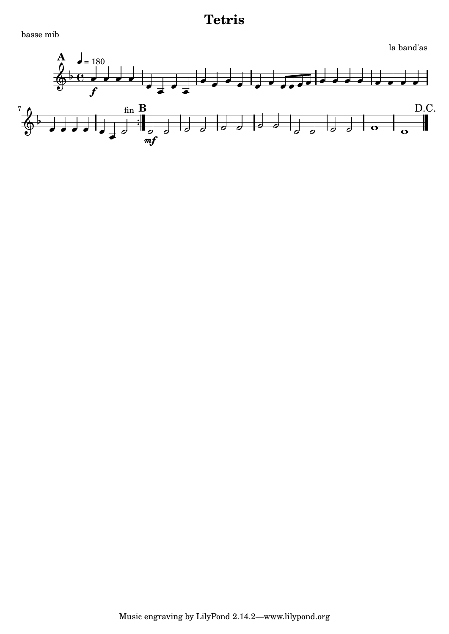basse mib

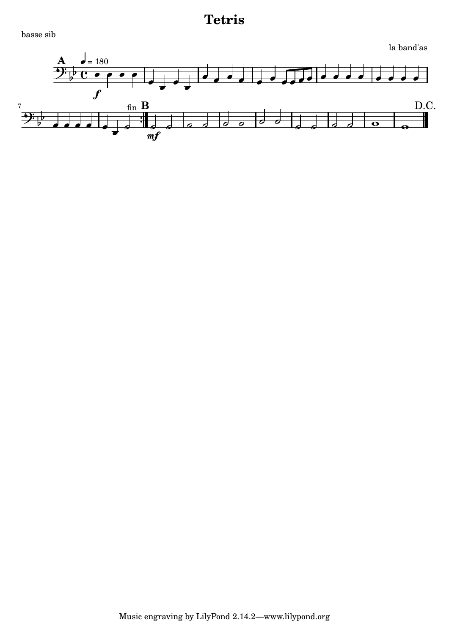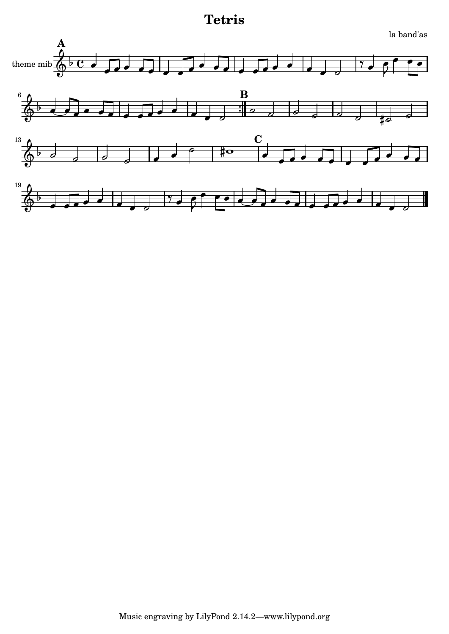

la band'as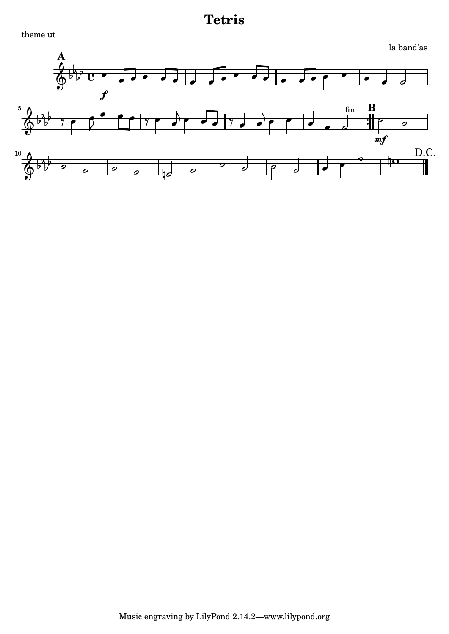theme ut

```
la band'as
```
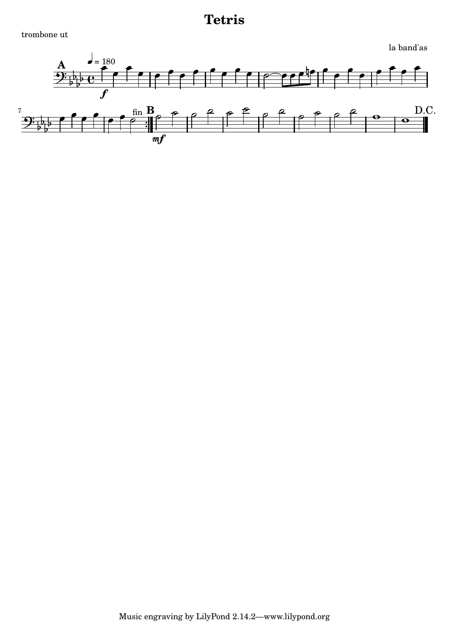